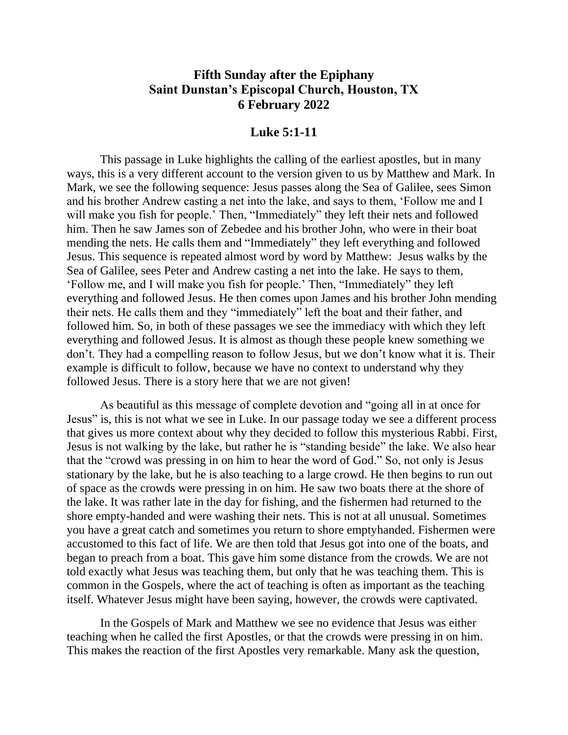## **Fifth Sunday after the Epiphany Saint Dunstan's Episcopal Church, Houston, TX 6 February 2022**

## **Luke 5:1-11**

This passage in Luke highlights the calling of the earliest apostles, but in many ways, this is a very different account to the version given to us by Matthew and Mark. In Mark, we see the following sequence: Jesus passes along the Sea of Galilee, sees Simon and his brother Andrew casting a net into the lake, and says to them, 'Follow me and I will make you fish for people.' Then, "Immediately" they left their nets and followed him. Then he saw James son of Zebedee and his brother John, who were in their boat mending the nets. He calls them and "Immediately" they left everything and followed Jesus. This sequence is repeated almost word by word by Matthew: Jesus walks by the Sea of Galilee, sees Peter and Andrew casting a net into the lake. He says to them, 'Follow me, and I will make you fish for people.' Then, "Immediately" they left everything and followed Jesus. He then comes upon James and his brother John mending their nets. He calls them and they "immediately" left the boat and their father, and followed him. So, in both of these passages we see the immediacy with which they left everything and followed Jesus. It is almost as though these people knew something we don't. They had a compelling reason to follow Jesus, but we don't know what it is. Their example is difficult to follow, because we have no context to understand why they followed Jesus. There is a story here that we are not given!

As beautiful as this message of complete devotion and "going all in at once for Jesus" is, this is not what we see in Luke. In our passage today we see a different process that gives us more context about why they decided to follow this mysterious Rabbi. First, Jesus is not walking by the lake, but rather he is "standing beside" the lake. We also hear that the "crowd was pressing in on him to hear the word of God." So, not only is Jesus stationary by the lake, but he is also teaching to a large crowd. He then begins to run out of space as the crowds were pressing in on him. He saw two boats there at the shore of the lake. It was rather late in the day for fishing, and the fishermen had returned to the shore empty-handed and were washing their nets. This is not at all unusual. Sometimes you have a great catch and sometimes you return to shore emptyhanded. Fishermen were accustomed to this fact of life. We are then told that Jesus got into one of the boats, and began to preach from a boat. This gave him some distance from the crowds. We are not told exactly what Jesus was teaching them, but only that he was teaching them. This is common in the Gospels, where the act of teaching is often as important as the teaching itself. Whatever Jesus might have been saying, however, the crowds were captivated.

In the Gospels of Mark and Matthew we see no evidence that Jesus was either teaching when he called the first Apostles, or that the crowds were pressing in on him. This makes the reaction of the first Apostles very remarkable. Many ask the question,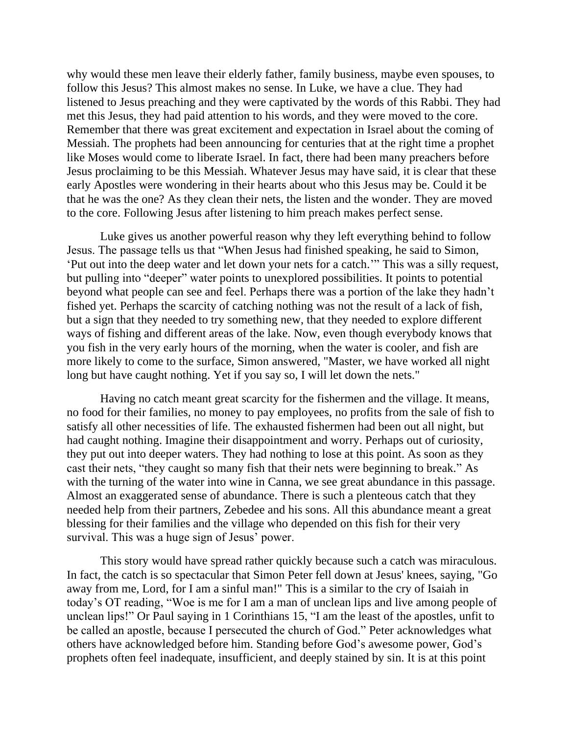why would these men leave their elderly father, family business, maybe even spouses, to follow this Jesus? This almost makes no sense. In Luke, we have a clue. They had listened to Jesus preaching and they were captivated by the words of this Rabbi. They had met this Jesus, they had paid attention to his words, and they were moved to the core. Remember that there was great excitement and expectation in Israel about the coming of Messiah. The prophets had been announcing for centuries that at the right time a prophet like Moses would come to liberate Israel. In fact, there had been many preachers before Jesus proclaiming to be this Messiah. Whatever Jesus may have said, it is clear that these early Apostles were wondering in their hearts about who this Jesus may be. Could it be that he was the one? As they clean their nets, the listen and the wonder. They are moved to the core. Following Jesus after listening to him preach makes perfect sense.

Luke gives us another powerful reason why they left everything behind to follow Jesus. The passage tells us that "When Jesus had finished speaking, he said to Simon, 'Put out into the deep water and let down your nets for a catch.'" This was a silly request, but pulling into "deeper" water points to unexplored possibilities. It points to potential beyond what people can see and feel. Perhaps there was a portion of the lake they hadn't fished yet. Perhaps the scarcity of catching nothing was not the result of a lack of fish, but a sign that they needed to try something new, that they needed to explore different ways of fishing and different areas of the lake. Now, even though everybody knows that you fish in the very early hours of the morning, when the water is cooler, and fish are more likely to come to the surface, Simon answered, "Master, we have worked all night long but have caught nothing. Yet if you say so, I will let down the nets."

Having no catch meant great scarcity for the fishermen and the village. It means, no food for their families, no money to pay employees, no profits from the sale of fish to satisfy all other necessities of life. The exhausted fishermen had been out all night, but had caught nothing. Imagine their disappointment and worry. Perhaps out of curiosity, they put out into deeper waters. They had nothing to lose at this point. As soon as they cast their nets, "they caught so many fish that their nets were beginning to break." As with the turning of the water into wine in Canna, we see great abundance in this passage. Almost an exaggerated sense of abundance. There is such a plenteous catch that they needed help from their partners, Zebedee and his sons. All this abundance meant a great blessing for their families and the village who depended on this fish for their very survival. This was a huge sign of Jesus' power.

This story would have spread rather quickly because such a catch was miraculous. In fact, the catch is so spectacular that Simon Peter fell down at Jesus' knees, saying, "Go away from me, Lord, for I am a sinful man!" This is a similar to the cry of Isaiah in today's OT reading, "Woe is me for I am a man of unclean lips and live among people of unclean lips!" Or Paul saying in 1 Corinthians 15, "I am the least of the apostles, unfit to be called an apostle, because I persecuted the church of God." Peter acknowledges what others have acknowledged before him. Standing before God's awesome power, God's prophets often feel inadequate, insufficient, and deeply stained by sin. It is at this point